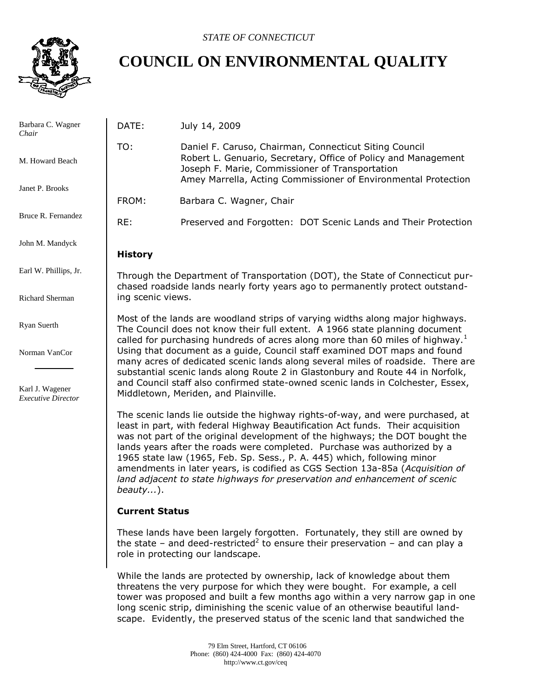

# **COUNCIL ON ENVIRONMENTAL QUALITY**

| Barbara C. Wagner<br>Chair                   | DATE:                                                                                                                                                                                                                                                     | July 14, 2009                                                                                                                                                                                                                                                                                                                                                                                                                                                                                                                                                           |  |
|----------------------------------------------|-----------------------------------------------------------------------------------------------------------------------------------------------------------------------------------------------------------------------------------------------------------|-------------------------------------------------------------------------------------------------------------------------------------------------------------------------------------------------------------------------------------------------------------------------------------------------------------------------------------------------------------------------------------------------------------------------------------------------------------------------------------------------------------------------------------------------------------------------|--|
| M. Howard Beach                              | TO:                                                                                                                                                                                                                                                       | Daniel F. Caruso, Chairman, Connecticut Siting Council<br>Robert L. Genuario, Secretary, Office of Policy and Management<br>Joseph F. Marie, Commissioner of Transportation<br>Amey Marrella, Acting Commissioner of Environmental Protection                                                                                                                                                                                                                                                                                                                           |  |
| Janet P. Brooks                              |                                                                                                                                                                                                                                                           |                                                                                                                                                                                                                                                                                                                                                                                                                                                                                                                                                                         |  |
|                                              | FROM:                                                                                                                                                                                                                                                     | Barbara C. Wagner, Chair                                                                                                                                                                                                                                                                                                                                                                                                                                                                                                                                                |  |
| Bruce R. Fernandez                           | RE:                                                                                                                                                                                                                                                       | Preserved and Forgotten: DOT Scenic Lands and Their Protection                                                                                                                                                                                                                                                                                                                                                                                                                                                                                                          |  |
| John M. Mandyck                              | <b>History</b>                                                                                                                                                                                                                                            |                                                                                                                                                                                                                                                                                                                                                                                                                                                                                                                                                                         |  |
| Earl W. Phillips, Jr.                        | Through the Department of Transportation (DOT), the State of Connecticut pur-<br>chased roadside lands nearly forty years ago to permanently protect outstand-                                                                                            |                                                                                                                                                                                                                                                                                                                                                                                                                                                                                                                                                                         |  |
| Richard Sherman                              | ing scenic views.                                                                                                                                                                                                                                         |                                                                                                                                                                                                                                                                                                                                                                                                                                                                                                                                                                         |  |
| Ryan Suerth                                  | Most of the lands are woodland strips of varying widths along major highways.<br>The Council does not know their full extent. A 1966 state planning document<br>called for purchasing hundreds of acres along more than 60 miles of highway. <sup>1</sup> |                                                                                                                                                                                                                                                                                                                                                                                                                                                                                                                                                                         |  |
| Norman VanCor                                | Using that document as a guide, Council staff examined DOT maps and found<br>many acres of dedicated scenic lands along several miles of roadside. There are<br>substantial scenic lands along Route 2 in Glastonbury and Route 44 in Norfolk,            |                                                                                                                                                                                                                                                                                                                                                                                                                                                                                                                                                                         |  |
| Karl J. Wagener<br><b>Executive Director</b> |                                                                                                                                                                                                                                                           | and Council staff also confirmed state-owned scenic lands in Colchester, Essex,<br>Middletown, Meriden, and Plainville.                                                                                                                                                                                                                                                                                                                                                                                                                                                 |  |
|                                              | $bealty$ ).                                                                                                                                                                                                                                               | The scenic lands lie outside the highway rights-of-way, and were purchased, at<br>least in part, with federal Highway Beautification Act funds. Their acquisition<br>was not part of the original development of the highways; the DOT bought the<br>lands years after the roads were completed. Purchase was authorized by a<br>1965 state law (1965, Feb. Sp. Sess., P. A. 445) which, following minor<br>amendments in later years, is codified as CGS Section 13a-85a (Acquisition of<br>land adjacent to state highways for preservation and enhancement of scenic |  |

## **Current Status**

These lands have been largely forgotten. Fortunately, they still are owned by the state – and deed-restricted<sup>2</sup> to ensure their preservation – and can play a role in protecting our landscape.

While the lands are protected by ownership, lack of knowledge about them threatens the very purpose for which they were bought. For example, a cell tower was proposed and built a few months ago within a very narrow gap in one long scenic strip, diminishing the scenic value of an otherwise beautiful landscape. Evidently, the preserved status of the scenic land that sandwiched the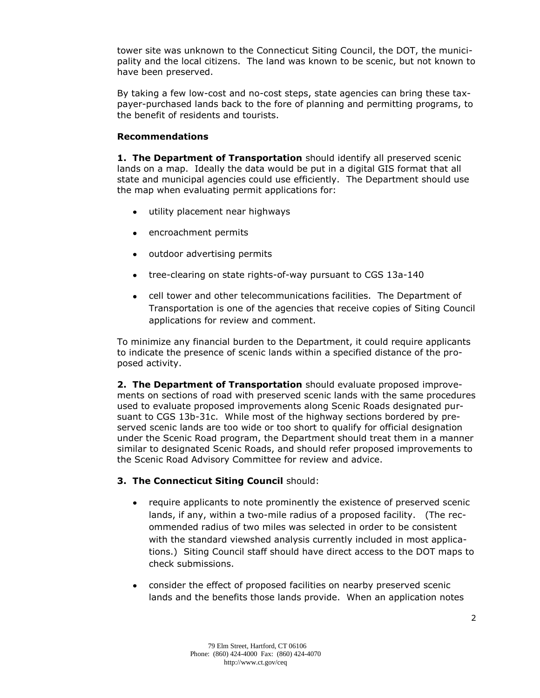tower site was unknown to the Connecticut Siting Council, the DOT, the municipality and the local citizens. The land was known to be scenic, but not known to have been preserved.

By taking a few low-cost and no-cost steps, state agencies can bring these taxpayer-purchased lands back to the fore of planning and permitting programs, to the benefit of residents and tourists.

### **Recommendations**

**1. The Department of Transportation** should identify all preserved scenic lands on a map. Ideally the data would be put in a digital GIS format that all state and municipal agencies could use efficiently. The Department should use the map when evaluating permit applications for:

- $\bullet$ utility placement near highways
- encroachment permits
- outdoor advertising permits  $\bullet$
- tree-clearing on state rights-of-way pursuant to CGS 13a-140  $\bullet$
- cell tower and other telecommunications facilities. The Department of  $\bullet$ Transportation is one of the agencies that receive copies of Siting Council applications for review and comment.

To minimize any financial burden to the Department, it could require applicants to indicate the presence of scenic lands within a specified distance of the proposed activity.

**2. The Department of Transportation** should evaluate proposed improvements on sections of road with preserved scenic lands with the same procedures used to evaluate proposed improvements along Scenic Roads designated pursuant to CGS 13b-31c. While most of the highway sections bordered by preserved scenic lands are too wide or too short to qualify for official designation under the Scenic Road program, the Department should treat them in a manner similar to designated Scenic Roads, and should refer proposed improvements to the Scenic Road Advisory Committee for review and advice.

#### **3. The Connecticut Siting Council** should:

- $\bullet$ require applicants to note prominently the existence of preserved scenic lands, if any, within a two-mile radius of a proposed facility. (The recommended radius of two miles was selected in order to be consistent with the standard viewshed analysis currently included in most applications.) Siting Council staff should have direct access to the DOT maps to check submissions.
- consider the effect of proposed facilities on nearby preserved scenic lands and the benefits those lands provide. When an application notes